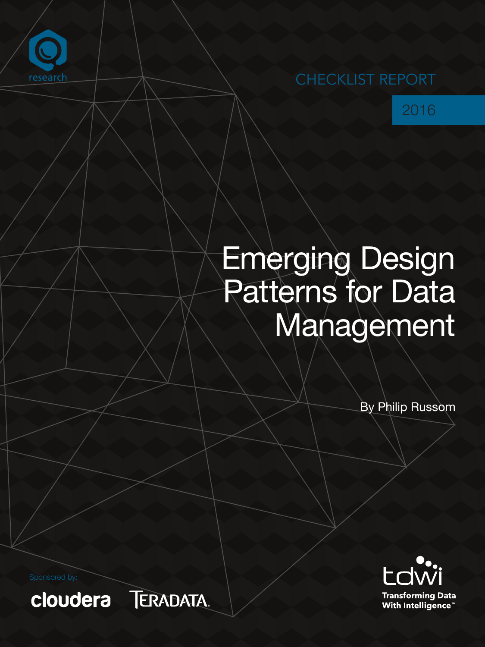

## CHECKLIST REPORT



# Emerging Design Patterns for Data Management

By Philip Russom



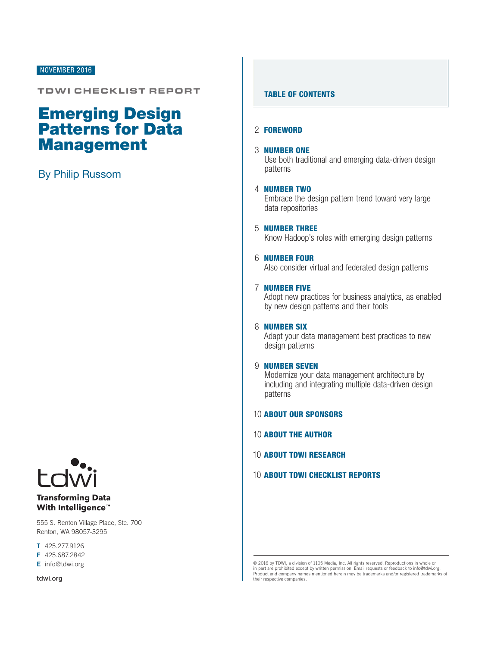## NOVEMBER 2016

## TDWI CHECKLIST REPORT

## Emerging Design Patterns for Data Management

## By Philip Russom



## **Transforming Data** With Intelligence<sup>™</sup>

555 S. Renton Village Place, Ste. 700 Renton, WA 98057-3295

T 425.277.9126

F 425.687.2842

E info@tdwi.org

tdwi.org

## TABLE OF CONTENTS

## 2 [FOREWORD](#page-2-0)

### 3 [NUMBER ONE](#page-3-0)

[Use both traditional and emerging data-driven design](#page-3-0)  [patterns](#page-3-0) 

## 4 [NUMBER TWO](#page-3-0)

Embrace the design pattern trend toward very large data repositories

5 [NUMBER THREE](#page-5-0) Know Hadoop's roles with emerging design patterns

## 6 [NUMBER FOUR](#page-6-0)

Also consider virtual and federated design patterns

## 7 [NUMBER FIVE](#page-7-0)

Adopt new practices for business analytics, as enabled by new design patterns and their tools

## 8 **[NUMBER SIX](#page-8-0)**

Adapt your data management best practices to new design patterns

## 9 [NUMBER SEVEN](#page-9-0)

Modernize your data management architecture by including and integrating multiple data-driven design patterns

## 10 [ABOUT OUR SPONSORS](#page-10-0)

10 [ABOUT THE AUTHOR](#page-10-0)

10 [ABOUT TDWI RESEARCH](#page-10-0)

## 10 [ABOUT TDWI CHECKLIST REPORTS](#page-10-0)

© 2016 by TDWI, a division of 1105 Media, Inc. All rights reserved. Reproductions in whole or in part are prohibited except by written permission. Email requests or feedback to info@tdwi.org. Product and company names mentioned herein may be trademarks and/or registered trademarks of their respective companies.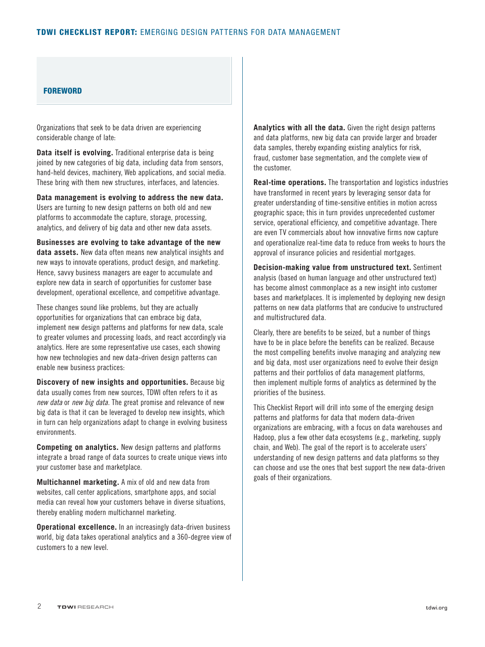## <span id="page-2-0"></span>**FOREWORD**

Organizations that seek to be data driven are experiencing considerable change of late:

**Data itself is evolving.** Traditional enterprise data is being joined by new categories of big data, including data from sensors, hand-held devices, machinery, Web applications, and social media. These bring with them new structures, interfaces, and latencies.

**Data management is evolving to address the new data.**  Users are turning to new design patterns on both old and new platforms to accommodate the capture, storage, processing, analytics, and delivery of big data and other new data assets.

**Businesses are evolving to take advantage of the new data assets.** New data often means new analytical insights and new ways to innovate operations, product design, and marketing. Hence, savvy business managers are eager to accumulate and explore new data in search of opportunities for customer base development, operational excellence, and competitive advantage.

These changes sound like problems, but they are actually opportunities for organizations that can embrace big data, implement new design patterns and platforms for new data, scale to greater volumes and processing loads, and react accordingly via analytics. Here are some representative use cases, each showing how new technologies and new data-driven design patterns can enable new business practices:

**Discovery of new insights and opportunities.** Because big data usually comes from new sources, TDWI often refers to it as *new data* or *new big data*. The great promise and relevance of new big data is that it can be leveraged to develop new insights, which in turn can help organizations adapt to change in evolving business environments.

**Competing on analytics.** New design patterns and platforms integrate a broad range of data sources to create unique views into your customer base and marketplace.

**Multichannel marketing.** A mix of old and new data from websites, call center applications, smartphone apps, and social media can reveal how your customers behave in diverse situations, thereby enabling modern multichannel marketing.

**Operational excellence.** In an increasingly data-driven business world, big data takes operational analytics and a 360-degree view of customers to a new level.

**Analytics with all the data.** Given the right design patterns and data platforms, new big data can provide larger and broader data samples, thereby expanding existing analytics for risk, fraud, customer base segmentation, and the complete view of the customer.

**Real-time operations.** The transportation and logistics industries have transformed in recent years by leveraging sensor data for greater understanding of time-sensitive entities in motion across geographic space; this in turn provides unprecedented customer service, operational efficiency, and competitive advantage. There are even TV commercials about how innovative firms now capture and operationalize real-time data to reduce from weeks to hours the approval of insurance policies and residential mortgages.

**Decision-making value from unstructured text.** Sentiment analysis (based on human language and other unstructured text) has become almost commonplace as a new insight into customer bases and marketplaces. It is implemented by deploying new design patterns on new data platforms that are conducive to unstructured and multistructured data.

Clearly, there are benefits to be seized, but a number of things have to be in place before the benefits can be realized. Because the most compelling benefits involve managing and analyzing new and big data, most user organizations need to evolve their design patterns and their portfolios of data management platforms, then implement multiple forms of analytics as determined by the priorities of the business.

This Checklist Report will drill into some of the emerging design patterns and platforms for data that modern data-driven organizations are embracing, with a focus on data warehouses and Hadoop, plus a few other data ecosystems (e.g., marketing, supply chain, and Web). The goal of the report is to accelerate users' understanding of new design patterns and data platforms so they can choose and use the ones that best support the new data-driven goals of their organizations.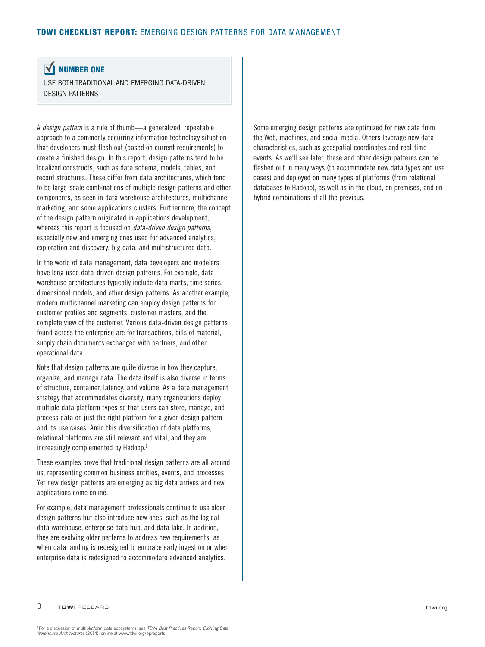#### <span id="page-3-0"></span> $\overline{\mathbf{M}}$ NUMBER ONE

USE BOTH TRADITIONAL AND EMERGING DATA-DRIVEN DESIGN PATTERNS

A *design pattern* is a rule of thumb—a generalized, repeatable approach to a commonly occurring information technology situation that developers must flesh out (based on current requirements) to create a finished design. In this report, design patterns tend to be localized constructs, such as data schema, models, tables, and record structures. These differ from data architectures, which tend to be large-scale combinations of multiple design patterns and other components, as seen in data warehouse architectures, multichannel marketing, and some applications clusters. Furthermore, the concept of the design pattern originated in applications development, whereas this report is focused on *data-driven design patterns*, especially new and emerging ones used for advanced analytics, exploration and discovery, big data, and multistructured data.

In the world of data management, data developers and modelers have long used data-driven design patterns. For example, data warehouse architectures typically include data marts, time series, dimensional models, and other design patterns. As another example, modern multichannel marketing can employ design patterns for customer profiles and segments, customer masters, and the complete view of the customer. Various data-driven design patterns found across the enterprise are for transactions, bills of material, supply chain documents exchanged with partners, and other operational data.

Note that design patterns are quite diverse in how they capture, organize, and manage data. The data itself is also diverse in terms of structure, container, latency, and volume. As a data management strategy that accommodates diversity, many organizations deploy multiple data platform types so that users can store, manage, and process data on just the right platform for a given design pattern and its use cases. Amid this diversification of data platforms, relational platforms are still relevant and vital, and they are increasingly complemented by Hadoop.<sup>1</sup>

These examples prove that traditional design patterns are all around us, representing common business entities, events, and processes. Yet new design patterns are emerging as big data arrives and new applications come online.

For example, data management professionals continue to use older design patterns but also introduce new ones, such as the logical data warehouse, enterprise data hub, and data lake. In addition, they are evolving older patterns to address new requirements, as when data landing is redesigned to embrace early ingestion or when enterprise data is redesigned to accommodate advanced analytics.

Some emerging design patterns are optimized for new data from the Web, machines, and social media. Others leverage new data characteristics, such as geospatial coordinates and real-time events. As we'll see later, these and other design patterns can be fleshed out in many ways (to accommodate new data types and use cases) and deployed on many types of platforms (from relational databases to Hadoop), as well as in the cloud, on premises, and on hybrid combinations of all the previous.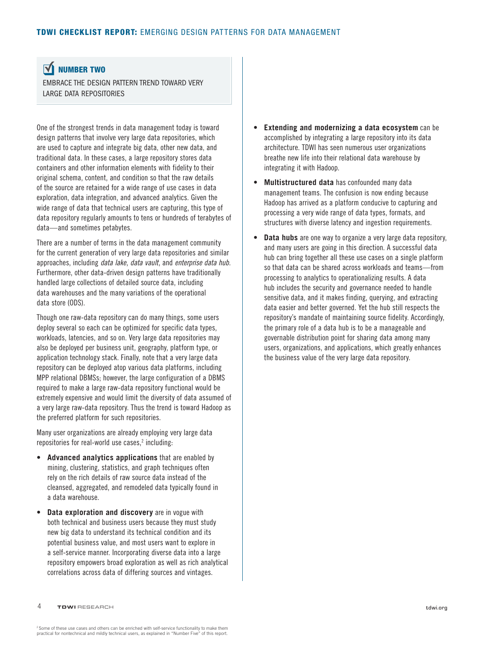#### <span id="page-4-0"></span> $\overline{\mathbf{M}}$ NUMBER TWO

EMBRACE THE DESIGN PATTERN TREND TOWARD VERY LARGE DATA REPOSITORIES

One of the strongest trends in data management today is toward design patterns that involve very large data repositories, which are used to capture and integrate big data, other new data, and traditional data. In these cases, a large repository stores data containers and other information elements with fidelity to their original schema, content, and condition so that the raw details of the source are retained for a wide range of use cases in data exploration, data integration, and advanced analytics. Given the wide range of data that technical users are capturing, this type of data repository regularly amounts to tens or hundreds of terabytes of data—and sometimes petabytes.

There are a number of terms in the data management community for the current generation of very large data repositories and similar approaches, including *data lake*, *data vault*, and *enterprise data hub*. Furthermore, other data-driven design patterns have traditionally handled large collections of detailed source data, including data warehouses and the many variations of the operational data store (ODS).

Though one raw-data repository can do many things, some users deploy several so each can be optimized for specific data types, workloads, latencies, and so on. Very large data repositories may also be deployed per business unit, geography, platform type, or application technology stack. Finally, note that a very large data repository can be deployed atop various data platforms, including MPP relational DBMSs; however, the large configuration of a DBMS required to make a large raw-data repository functional would be extremely expensive and would limit the diversity of data assumed of a very large raw-data repository. Thus the trend is toward Hadoop as the preferred platform for such repositories.

Many user organizations are already employing very large data repositories for real-world use cases,<sup>2</sup> including:

- **Advanced analytics applications** that are enabled by mining, clustering, statistics, and graph techniques often rely on the rich details of raw source data instead of the cleansed, aggregated, and remodeled data typically found in a data warehouse.
- **Data exploration and discovery** are in vogue with both technical and business users because they must study new big data to understand its technical condition and its potential business value, and most users want to explore in a self-service manner. Incorporating diverse data into a large repository empowers broad exploration as well as rich analytical correlations across data of differing sources and vintages.
- **Extending and modernizing a data ecosystem** can be accomplished by integrating a large repository into its data architecture. TDWI has seen numerous user organizations breathe new life into their relational data warehouse by integrating it with Hadoop.
- **Multistructured data** has confounded many data management teams. The confusion is now ending because Hadoop has arrived as a platform conducive to capturing and processing a very wide range of data types, formats, and structures with diverse latency and ingestion requirements.
- **Data hubs** are one way to organize a very large data repository, and many users are going in this direction. A successful data hub can bring together all these use cases on a single platform so that data can be shared across workloads and teams—from processing to analytics to operationalizing results. A data hub includes the security and governance needed to handle sensitive data, and it makes finding, querying, and extracting data easier and better governed. Yet the hub still respects the repository's mandate of maintaining source fidelity. Accordingly, the primary role of a data hub is to be a manageable and governable distribution point for sharing data among many users, organizations, and applications, which greatly enhances the business value of the very large data repository.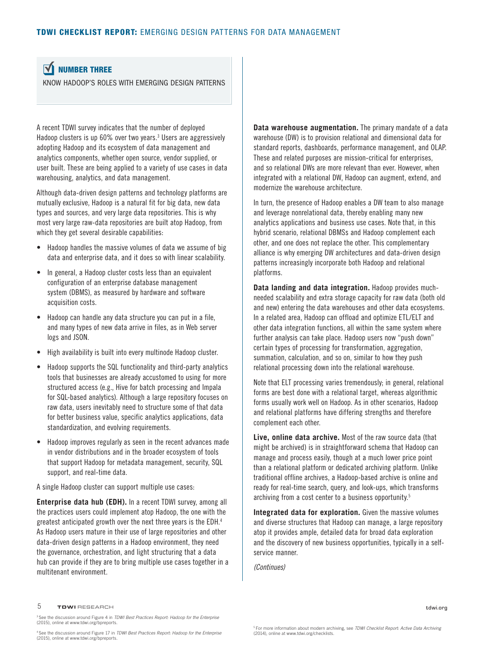#### <span id="page-5-0"></span> $\overline{\mathbf{M}}$ NUMBER THREE

KNOW HADOOP'S ROLES WITH EMERGING DESIGN PATTERNS

A recent TDWI survey indicates that the number of deployed Hadoop clusters is up 60% over two years.<sup>3</sup> Users are aggressively adopting Hadoop and its ecosystem of data management and analytics components, whether open source, vendor supplied, or user built. These are being applied to a variety of use cases in data warehousing, analytics, and data management.

Although data-driven design patterns and technology platforms are mutually exclusive, Hadoop is a natural fit for big data, new data types and sources, and very large data repositories. This is why most very large raw-data repositories are built atop Hadoop, from which they get several desirable capabilities:

- Hadoop handles the massive volumes of data we assume of big data and enterprise data, and it does so with linear scalability.
- In general, a Hadoop cluster costs less than an equivalent configuration of an enterprise database management system (DBMS), as measured by hardware and software acquisition costs.
- Hadoop can handle any data structure you can put in a file, and many types of new data arrive in files, as in Web server logs and JSON.
- High availability is built into every multinode Hadoop cluster.
- Hadoop supports the SQL functionality and third-party analytics tools that businesses are already accustomed to using for more structured access (e.g., Hive for batch processing and Impala for SQL-based analytics). Although a large repository focuses on raw data, users inevitably need to structure some of that data for better business value, specific analytics applications, data standardization, and evolving requirements.
- Hadoop improves regularly as seen in the recent advances made in vendor distributions and in the broader ecosystem of tools that support Hadoop for metadata management, security, SQL support, and real-time data.

A single Hadoop cluster can support multiple use cases:

**Enterprise data hub (EDH).** In a recent TDWI survey, among all the practices users could implement atop Hadoop, the one with the greatest anticipated growth over the next three years is the EDH.4 As Hadoop users mature in their use of large repositories and other data-driven design patterns in a Hadoop environment, they need the governance, orchestration, and light structuring that a data hub can provide if they are to bring multiple use cases together in a multitenant environment.

**Data warehouse augmentation.** The primary mandate of a data warehouse (DW) is to provision relational and dimensional data for standard reports, dashboards, performance management, and OLAP. These and related purposes are mission-critical for enterprises, and so relational DWs are more relevant than ever. However, when integrated with a relational DW, Hadoop can augment, extend, and modernize the warehouse architecture.

In turn, the presence of Hadoop enables a DW team to also manage and leverage nonrelational data, thereby enabling many new analytics applications and business use cases. Note that, in this hybrid scenario, relational DBMSs and Hadoop complement each other, and one does not replace the other. This complementary alliance is why emerging DW architectures and data-driven design patterns increasingly incorporate both Hadoop and relational platforms.

**Data landing and data integration.** Hadoop provides muchneeded scalability and extra storage capacity for raw data (both old and new) entering the data warehouses and other data ecosystems. In a related area, Hadoop can offload and optimize ETL/ELT and other data integration functions, all within the same system where further analysis can take place. Hadoop users now "push down" certain types of processing for transformation, aggregation, summation, calculation, and so on, similar to how they push relational processing down into the relational warehouse.

Note that ELT processing varies tremendously; in general, relational forms are best done with a relational target, whereas algorithmic forms usually work well on Hadoop. As in other scenarios, Hadoop and relational platforms have differing strengths and therefore complement each other.

**Live, online data archive.** Most of the raw source data (that might be archived) is in straightforward schema that Hadoop can manage and process easily, though at a much lower price point than a relational platform or dedicated archiving platform. Unlike traditional offline archives, a Hadoop-based archive is online and ready for real-time search, query, and look-ups, which transforms archiving from a cost center to a business opportunity.<sup>5</sup>

**Integrated data for exploration.** Given the massive volumes and diverse structures that Hadoop can manage, a large repository atop it provides ample, detailed data for broad data exploration and the discovery of new business opportunities, typically in a selfservice manner.

*(Continues)*

### $5$  TDWI RESEARCH to the contract of the contract of the contract of the contract of the contract of the contract of the contract of the contract of the contract of the contract of the contract of the contract of the cont

3 See the discussion around Figure 4 in *TDWI Best Practices Report: Hadoop for the Enterprise* (2015), online at www.tdwi.org/bpreports.

5 For more information about modern archiving, see *TDWI Checklist Report: Active Data Archiving* (2014), online at www.tdwi.org/checklists.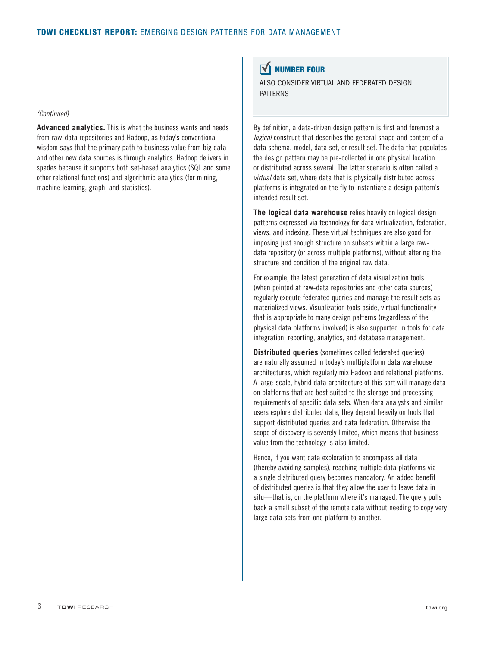## <span id="page-6-0"></span>*(Continued)*

**Advanced analytics.** This is what the business wants and needs from raw-data repositories and Hadoop, as today's conventional wisdom says that the primary path to business value from big data and other new data sources is through analytics. Hadoop delivers in spades because it supports both set-based analytics (SQL and some other relational functions) and algorithmic analytics (for mining, machine learning, graph, and statistics).

#### $\overline{\mathbf{M}}$ NUMBER FOUR

ALSO CONSIDER VIRTUAL AND FEDERATED DESIGN PATTERNS

By definition, a data-driven design pattern is first and foremost a *logical* construct that describes the general shape and content of a data schema, model, data set, or result set. The data that populates the design pattern may be pre-collected in one physical location or distributed across several. The latter scenario is often called a *virtual* data set, where data that is physically distributed across platforms is integrated on the fly to instantiate a design pattern's intended result set.

**The logical data warehouse** relies heavily on logical design patterns expressed via technology for data virtualization, federation, views, and indexing. These virtual techniques are also good for imposing just enough structure on subsets within a large rawdata repository (or across multiple platforms), without altering the structure and condition of the original raw data.

For example, the latest generation of data visualization tools (when pointed at raw-data repositories and other data sources) regularly execute federated queries and manage the result sets as materialized views. Visualization tools aside, virtual functionality that is appropriate to many design patterns (regardless of the physical data platforms involved) is also supported in tools for data integration, reporting, analytics, and database management.

**Distributed queries** (sometimes called federated queries) are naturally assumed in today's multiplatform data warehouse architectures, which regularly mix Hadoop and relational platforms. A large-scale, hybrid data architecture of this sort will manage data on platforms that are best suited to the storage and processing requirements of specific data sets. When data analysts and similar users explore distributed data, they depend heavily on tools that support distributed queries and data federation. Otherwise the scope of discovery is severely limited, which means that business value from the technology is also limited.

Hence, if you want data exploration to encompass all data (thereby avoiding samples), reaching multiple data platforms via a single distributed query becomes mandatory. An added benefit of distributed queries is that they allow the user to leave data in situ—that is, on the platform where it's managed. The query pulls back a small subset of the remote data without needing to copy very large data sets from one platform to another.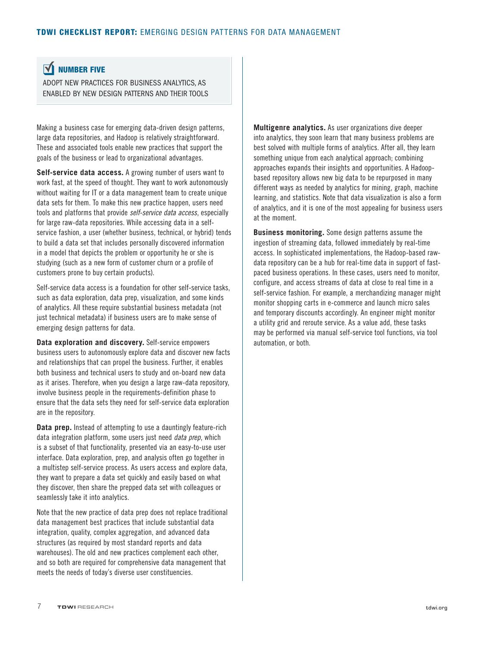#### <span id="page-7-0"></span> $\overline{\mathbf{M}}$ NUMBER FIVE

ADOPT NEW PRACTICES FOR BUSINESS ANALYTICS, AS ENABLED BY NEW DESIGN PATTERNS AND THEIR TOOLS

Making a business case for emerging data-driven design patterns, large data repositories, and Hadoop is relatively straightforward. These and associated tools enable new practices that support the goals of the business or lead to organizational advantages.

**Self-service data access.** A growing number of users want to work fast, at the speed of thought. They want to work autonomously without waiting for IT or a data management team to create unique data sets for them. To make this new practice happen, users need tools and platforms that provide *self-service data access*, especially for large raw-data repositories. While accessing data in a selfservice fashion, a user (whether business, technical, or hybrid) tends to build a data set that includes personally discovered information in a model that depicts the problem or opportunity he or she is studying (such as a new form of customer churn or a profile of customers prone to buy certain products).

Self-service data access is a foundation for other self-service tasks, such as data exploration, data prep, visualization, and some kinds of analytics. All these require substantial business metadata (not just technical metadata) if business users are to make sense of emerging design patterns for data.

**Data exploration and discovery.** Self-service empowers business users to autonomously explore data and discover new facts and relationships that can propel the business. Further, it enables both business and technical users to study and on-board new data as it arises. Therefore, when you design a large raw-data repository, involve business people in the requirements-definition phase to ensure that the data sets they need for self-service data exploration are in the repository.

**Data prep.** Instead of attempting to use a dauntingly feature-rich data integration platform, some users just need *data prep*, which is a subset of that functionality, presented via an easy-to-use user interface. Data exploration, prep, and analysis often go together in a multistep self-service process. As users access and explore data, they want to prepare a data set quickly and easily based on what they discover, then share the prepped data set with colleagues or seamlessly take it into analytics.

Note that the new practice of data prep does not replace traditional data management best practices that include substantial data integration, quality, complex aggregation, and advanced data structures (as required by most standard reports and data warehouses). The old and new practices complement each other, and so both are required for comprehensive data management that meets the needs of today's diverse user constituencies.

**Multigenre analytics.** As user organizations dive deeper into analytics, they soon learn that many business problems are best solved with multiple forms of analytics. After all, they learn something unique from each analytical approach; combining approaches expands their insights and opportunities. A Hadoopbased repository allows new big data to be repurposed in many different ways as needed by analytics for mining, graph, machine learning, and statistics. Note that data visualization is also a form of analytics, and it is one of the most appealing for business users at the moment.

**Business monitoring.** Some design patterns assume the ingestion of streaming data, followed immediately by real-time access. In sophisticated implementations, the Hadoop-based rawdata repository can be a hub for real-time data in support of fastpaced business operations. In these cases, users need to monitor, configure, and access streams of data at close to real time in a self-service fashion. For example, a merchandizing manager might monitor shopping carts in e-commerce and launch micro sales and temporary discounts accordingly. An engineer might monitor a utility grid and reroute service. As a value add, these tasks may be performed via manual self-service tool functions, via tool automation, or both.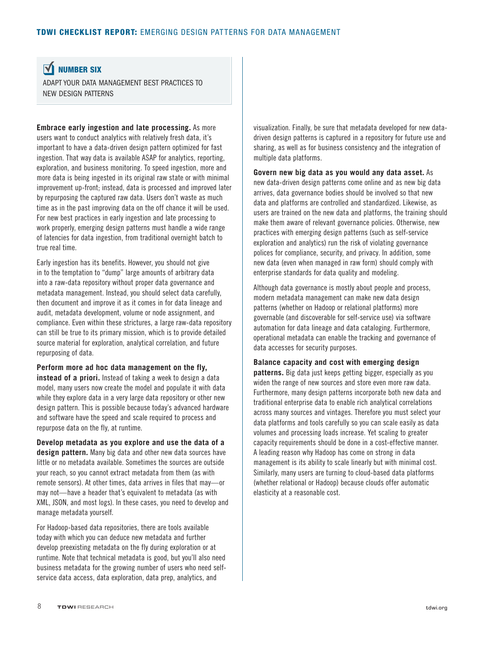<span id="page-8-0"></span> $\overline{\mathbf{M}}$ NUMBER SIXADAPT YOUR DATA MANAGEMENT BEST PRACTICES TO

NEW DESIGN PATTERNS

**Embrace early ingestion and late processing.** As more users want to conduct analytics with relatively fresh data, it's important to have a data-driven design pattern optimized for fast ingestion. That way data is available ASAP for analytics, reporting, exploration, and business monitoring. To speed ingestion, more and more data is being ingested in its original raw state or with minimal improvement up-front; instead, data is processed and improved later by repurposing the captured raw data. Users don't waste as much time as in the past improving data on the off chance it will be used. For new best practices in early ingestion and late processing to work properly, emerging design patterns must handle a wide range of latencies for data ingestion, from traditional overnight batch to true real time.

Early ingestion has its benefits. However, you should not give in to the temptation to "dump" large amounts of arbitrary data into a raw-data repository without proper data governance and metadata management. Instead, you should select data carefully, then document and improve it as it comes in for data lineage and audit, metadata development, volume or node assignment, and compliance. Even within these strictures, a large raw-data repository can still be true to its primary mission, which is to provide detailed source material for exploration, analytical correlation, and future repurposing of data.

**Perform more ad hoc data management on the fly, instead of a priori.** Instead of taking a week to design a data model, many users now create the model and populate it with data while they explore data in a very large data repository or other new design pattern. This is possible because today's advanced hardware and software have the speed and scale required to process and repurpose data on the fly, at runtime.

**Develop metadata as you explore and use the data of a design pattern.** Many big data and other new data sources have little or no metadata available. Sometimes the sources are outside your reach, so you cannot extract metadata from them (as with remote sensors). At other times, data arrives in files that may—or may not—have a header that's equivalent to metadata (as with XML, JSON, and most logs). In these cases, you need to develop and manage metadata yourself.

For Hadoop-based data repositories, there are tools available today with which you can deduce new metadata and further develop preexisting metadata on the fly during exploration or at runtime. Note that technical metadata is good, but you'll also need business metadata for the growing number of users who need selfservice data access, data exploration, data prep, analytics, and

visualization. Finally, be sure that metadata developed for new datadriven design patterns is captured in a repository for future use and sharing, as well as for business consistency and the integration of multiple data platforms.

**Govern new big data as you would any data asset.** As new data-driven design patterns come online and as new big data arrives, data governance bodies should be involved so that new data and platforms are controlled and standardized. Likewise, as users are trained on the new data and platforms, the training should make them aware of relevant governance policies. Otherwise, new practices with emerging design patterns (such as self-service exploration and analytics) run the risk of violating governance polices for compliance, security, and privacy. In addition, some new data (even when managed in raw form) should comply with enterprise standards for data quality and modeling.

Although data governance is mostly about people and process, modern metadata management can make new data design patterns (whether on Hadoop or relational platforms) more governable (and discoverable for self-service use) via software automation for data lineage and data cataloging. Furthermore, operational metadata can enable the tracking and governance of data accesses for security purposes.

### **Balance capacity and cost with emerging design**

**patterns.** Big data just keeps getting bigger, especially as you widen the range of new sources and store even more raw data. Furthermore, many design patterns incorporate both new data and traditional enterprise data to enable rich analytical correlations across many sources and vintages. Therefore you must select your data platforms and tools carefully so you can scale easily as data volumes and processing loads increase. Yet scaling to greater capacity requirements should be done in a cost-effective manner. A leading reason why Hadoop has come on strong in data management is its ability to scale linearly but with minimal cost. Similarly, many users are turning to cloud-based data platforms (whether relational or Hadoop) because clouds offer automatic elasticity at a reasonable cost.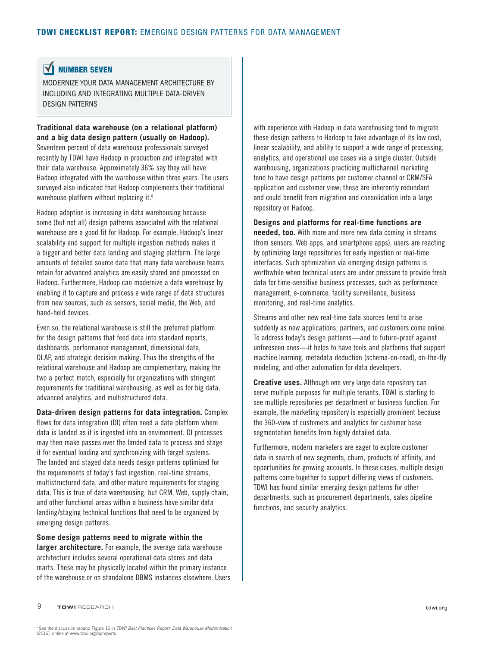#### <span id="page-9-0"></span> $\overline{\mathbf{M}}$ NUMBER SEVEN

MODERNIZE YOUR DATA MANAGEMENT ARCHITECTURE BY INCLUDING AND INTEGRATING MULTIPLE DATA-DRIVEN DESIGN PATTERNS

**Traditional data warehouse (on a relational platform) and a big data design pattern (usually on Hadoop).**

Seventeen percent of data warehouse professionals surveyed recently by TDWI have Hadoop in production and integrated with their data warehouse. Approximately 36% say they will have Hadoop integrated with the warehouse within three years. The users surveyed also indicated that Hadoop complements their traditional warehouse platform without replacing it.<sup>6</sup>

Hadoop adoption is increasing in data warehousing because some (but not all) design patterns associated with the relational warehouse are a good fit for Hadoop. For example, Hadoop's linear scalability and support for multiple ingestion methods makes it a bigger and better data landing and staging platform. The large amounts of detailed source data that many data warehouse teams retain for advanced analytics are easily stored and processed on Hadoop. Furthermore, Hadoop can modernize a data warehouse by enabling it to capture and process a wide range of data structures from new sources, such as sensors, social media, the Web, and hand-held devices.

Even so, the relational warehouse is still the preferred platform for the design patterns that feed data into standard reports, dashboards, performance management, dimensional data, OLAP, and strategic decision making. Thus the strengths of the relational warehouse and Hadoop are complementary, making the two a perfect match, especially for organizations with stringent requirements for traditional warehousing, as well as for big data, advanced analytics, and multistructured data.

**Data-driven design patterns for data integration.** Complex flows for data integration (DI) often need a data platform where data is landed as it is ingested into an environment. DI processes may then make passes over the landed data to process and stage it for eventual loading and synchronizing with target systems. The landed and staged data needs design patterns optimized for the requirements of today's fast ingestion, real-time streams, multistructured data, and other mature requirements for staging data. This is true of data warehousing, but CRM, Web, supply chain, and other functional areas within a business have similar data landing/staging technical functions that need to be organized by emerging design patterns.

**Some design patterns need to migrate within the larger architecture.** For example, the average data warehouse architecture includes several operational data stores and data marts. These may be physically located within the primary instance of the warehouse or on standalone DBMS instances elsewhere. Users

with experience with Hadoop in data warehousing tend to migrate these design patterns to Hadoop to take advantage of its low cost, linear scalability, and ability to support a wide range of processing, analytics, and operational use cases via a single cluster. Outside warehousing, organizations practicing multichannel marketing tend to have design patterns per customer channel or CRM/SFA application and customer view; these are inherently redundant and could benefit from migration and consolidation into a large repository on Hadoop.

**Designs and platforms for real-time functions are needed, too.** With more and more new data coming in streams (from sensors, Web apps, and smartphone apps), users are reacting by optimizing large repositories for early ingestion or real-time interfaces. Such optimization via emerging design patterns is worthwhile when technical users are under pressure to provide fresh data for time-sensitive business processes, such as performance management, e-commerce, facility surveillance, business monitoring, and real-time analytics.

Streams and other new real-time data sources tend to arise suddenly as new applications, partners, and customers come online. To address today's design patterns—and to future-proof against unforeseen ones—it helps to have tools and platforms that support machine learning, metadata deduction (schema-on-read), on-the-fly modeling, and other automation for data developers.

**Creative uses.** Although one very large data repository can serve multiple purposes for multiple tenants, TDWI is starting to see multiple repositories per department or business function. For example, the marketing repository is especially prominent because the 360-view of customers and analytics for customer base segmentation benefits from highly detailed data.

Furthermore, modern marketers are eager to explore customer data in search of new segments, churn, products of affinity, and opportunities for growing accounts. In these cases, multiple design patterns come together to support differing views of customers. TDWI has found similar emerging design patterns for other departments, such as procurement departments, sales pipeline functions, and security analytics.